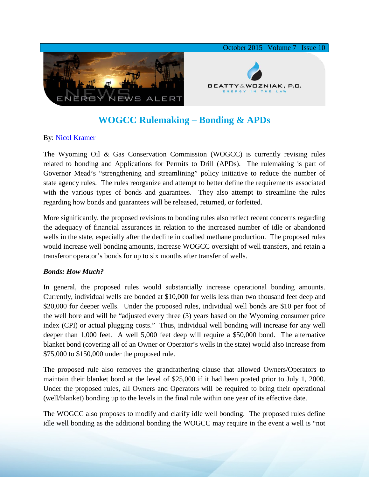

# **WOGCC Rulemaking – Bonding & APDs**

## By: [Nicol Kramer](http://www.bwenergylaw.com/#!nicol-kramer/c1z25)

The Wyoming Oil & Gas Conservation Commission (WOGCC) is currently revising rules related to bonding and Applications for Permits to Drill (APDs). The rulemaking is part of Governor Mead's "strengthening and streamlining" policy initiative to reduce the number of state agency rules. The rules reorganize and attempt to better define the requirements associated with the various types of bonds and guarantees. They also attempt to streamline the rules regarding how bonds and guarantees will be released, returned, or forfeited.

More significantly, the proposed revisions to bonding rules also reflect recent concerns regarding the adequacy of financial assurances in relation to the increased number of idle or abandoned wells in the state, especially after the decline in coalbed methane production. The proposed rules would increase well bonding amounts, increase WOGCC oversight of well transfers, and retain a transferor operator's bonds for up to six months after transfer of wells.

### *Bonds: How Much?*

In general, the proposed rules would substantially increase operational bonding amounts. Currently, individual wells are bonded at \$10,000 for wells less than two thousand feet deep and \$20,000 for deeper wells. Under the proposed rules, individual well bonds are \$10 per foot of the well bore and will be "adjusted every three (3) years based on the Wyoming consumer price index (CPI) or actual plugging costs." Thus, individual well bonding will increase for any well deeper than 1,000 feet. A well 5,000 feet deep will require a \$50,000 bond. The alternative blanket bond (covering all of an Owner or Operator's wells in the state) would also increase from \$75,000 to \$150,000 under the proposed rule.

The proposed rule also removes the grandfathering clause that allowed Owners/Operators to maintain their blanket bond at the level of \$25,000 if it had been posted prior to July 1, 2000. Under the proposed rules, all Owners and Operators will be required to bring their operational (well/blanket) bonding up to the levels in the final rule within one year of its effective date.

The WOGCC also proposes to modify and clarify idle well bonding. The proposed rules define idle well bonding as the additional bonding the WOGCC may require in the event a well is "not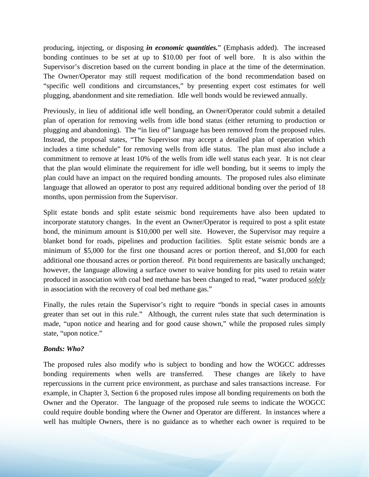producing, injecting, or disposing *in economic quantities.*" (Emphasis added). The increased bonding continues to be set at up to \$10.00 per foot of well bore. It is also within the Supervisor's discretion based on the current bonding in place at the time of the determination. The Owner/Operator may still request modification of the bond recommendation based on "specific well conditions and circumstances," by presenting expert cost estimates for well plugging, abandonment and site remediation. Idle well bonds would be reviewed annually.

Previously, in lieu of additional idle well bonding, an Owner/Operator could submit a detailed plan of operation for removing wells from idle bond status (either returning to production or plugging and abandoning). The "in lieu of" language has been removed from the proposed rules. Instead, the proposal states, "The Supervisor may accept a detailed plan of operation which includes a time schedule" for removing wells from idle status. The plan must also include a commitment to remove at least 10% of the wells from idle well status each year. It is not clear that the plan would eliminate the requirement for idle well bonding, but it seems to imply the plan could have an impact on the required bonding amounts. The proposed rules also eliminate language that allowed an operator to post any required additional bonding over the period of 18 months, upon permission from the Supervisor.

Split estate bonds and split estate seismic bond requirements have also been updated to incorporate statutory changes. In the event an Owner/Operator is required to post a split estate bond, the minimum amount is \$10,000 per well site. However, the Supervisor may require a blanket bond for roads, pipelines and production facilities. Split estate seismic bonds are a minimum of \$5,000 for the first one thousand acres or portion thereof, and \$1,000 for each additional one thousand acres or portion thereof. Pit bond requirements are basically unchanged; however, the language allowing a surface owner to waive bonding for pits used to retain water produced in association with coal bed methane has been changed to read, "water produced *solely* in association with the recovery of coal bed methane gas."

Finally, the rules retain the Supervisor's right to require "bonds in special cases in amounts greater than set out in this rule." Although, the current rules state that such determination is made, "upon notice and hearing and for good cause shown," while the proposed rules simply state, "upon notice."

### *Bonds: Who?*

The proposed rules also modify *who* is subject to bonding and how the WOGCC addresses bonding requirements when wells are transferred. These changes are likely to have repercussions in the current price environment, as purchase and sales transactions increase. For example, in Chapter 3, Section 6 the proposed rules impose all bonding requirements on both the Owner and the Operator. The language of the proposed rule seems to indicate the WOGCC could require double bonding where the Owner and Operator are different. In instances where a well has multiple Owners, there is no guidance as to whether each owner is required to be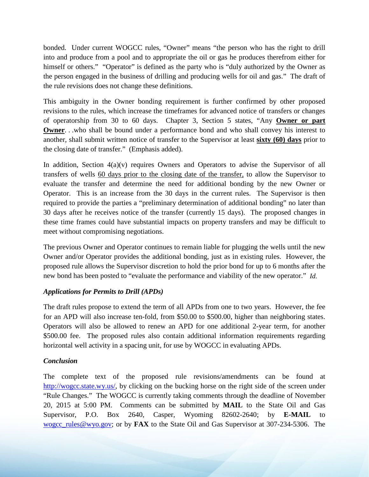bonded. Under current WOGCC rules, "Owner" means "the person who has the right to drill into and produce from a pool and to appropriate the oil or gas he produces therefrom either for himself or others." "Operator" is defined as the party who is "duly authorized by the Owner as the person engaged in the business of drilling and producing wells for oil and gas." The draft of the rule revisions does not change these definitions.

This ambiguity in the Owner bonding requirement is further confirmed by other proposed revisions to the rules, which increase the timeframes for advanced notice of transfers or changes of operatorship from 30 to 60 days. Chapter 3, Section 5 states, "Any **Owner or part Owner**. . .who shall be bound under a performance bond and who shall convey his interest to another, shall submit written notice of transfer to the Supervisor at least **sixty (60) days** prior to the closing date of transfer." (Emphasis added).

In addition, Section  $4(a)(v)$  requires Owners and Operators to advise the Supervisor of all transfers of wells 60 days prior to the closing date of the transfer, to allow the Supervisor to evaluate the transfer and determine the need for additional bonding by the new Owner or Operator. This is an increase from the 30 days in the current rules. The Supervisor is then required to provide the parties a "preliminary determination of additional bonding" no later than 30 days after he receives notice of the transfer (currently 15 days). The proposed changes in these time frames could have substantial impacts on property transfers and may be difficult to meet without compromising negotiations.

The previous Owner and Operator continues to remain liable for plugging the wells until the new Owner and/or Operator provides the additional bonding, just as in existing rules. However, the proposed rule allows the Supervisor discretion to hold the prior bond for up to 6 months after the new bond has been posted to "evaluate the performance and viability of the new operator." *Id.* 

### *Applications for Permits to Drill (APDs)*

The draft rules propose to extend the term of all APDs from one to two years. However, the fee for an APD will also increase ten-fold, from \$50.00 to \$500.00, higher than neighboring states. Operators will also be allowed to renew an APD for one additional 2-year term, for another \$500.00 fee. The proposed rules also contain additional information requirements regarding horizontal well activity in a spacing unit, for use by WOGCC in evaluating APDs.

### *Conclusion*

The complete text of the proposed rule revisions/amendments can be found at [http://wogcc.state.wy.us/,](http://wogcc.state.wy.us/) by clicking on the bucking horse on the right side of the screen under "Rule Changes." The WOGCC is currently taking comments through the deadline of November 20, 2015 at 5:00 PM. Comments can be submitted by **MAIL** to the State Oil and Gas Supervisor, P.O. Box 2640, Casper, Wyoming 82602-2640; by **E-MAIL** to [wogcc\\_rules@wyo.gov;](mailto:wogcc_rules@wyo.gov) or by **FAX** to the State Oil and Gas Supervisor at 307-234-5306. The